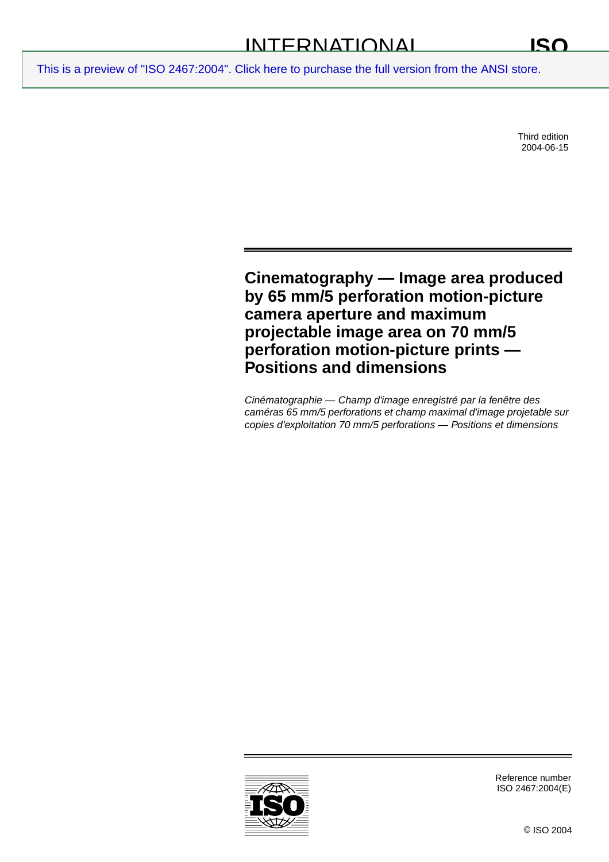Third edition 2004-06-15

## **Cinematography — Image area produced by 65 mm/5 perforation motion-picture camera aperture and maximum projectable image area on 70 mm/5 perforation motion-picture prints — Positions and dimensions**

Cinématographie — Champ d'image enregistré par la fenêtre des caméras 65 mm/5 perforations et champ maximal d'image projetable sur copies d'exploitation 70 mm/5 perforations — Positions et dimensions



Reference number ISO 2467:2004(E)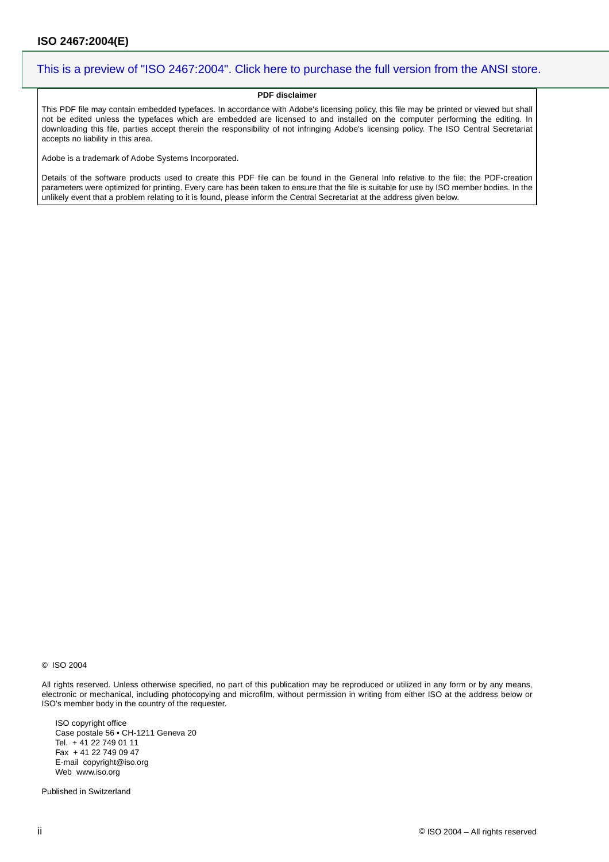## **PDF disclaimer**

This PDF file may contain embedded typefaces. In accordance with Adobe's licensing policy, this file may be printed or viewed but shall not be edited unless the typefaces which are embedded are licensed to and installed on the computer performing the editing. In downloading this file, parties accept therein the responsibility of not infringing Adobe's licensing policy. The ISO Central Secretariat accepts no liability in this area.

Adobe is a trademark of Adobe Systems Incorporated.

Details of the software products used to create this PDF file can be found in the General Info relative to the file; the PDF-creation parameters were optimized for printing. Every care has been taken to ensure that the file is suitable for use by ISO member bodies. In the unlikely event that a problem relating to it is found, please inform the Central Secretariat at the address given below.

© ISO 2004

All rights reserved. Unless otherwise specified, no part of this publication may be reproduced or utilized in any form or by any means, electronic or mechanical, including photocopying and microfilm, without permission in writing from either ISO at the address below or ISO's member body in the country of the requester.

ISO copyright office Case postale 56 • CH-1211 Geneva 20 Tel. + 41 22 749 01 11 Fax + 41 22 749 09 47 E-mail copyright@iso.org Web www.iso.org

Published in Switzerland